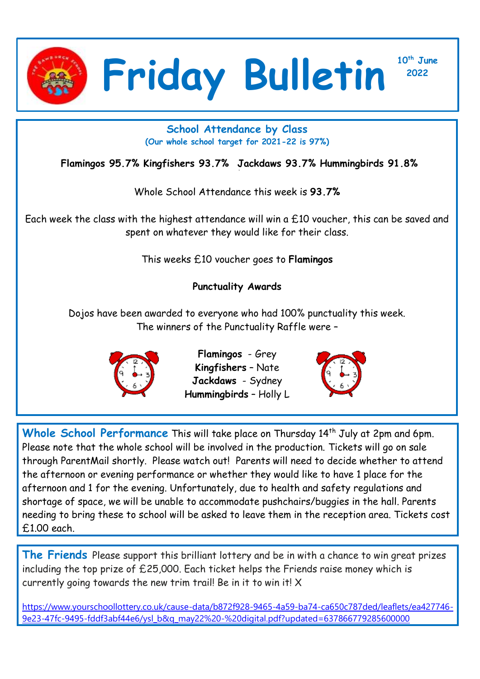

**<sup>2022</sup> Friday Bulletin**

**10th June**

## **School Attendance by Class (Our whole school target for 2021-22 is 97%)**

**Flamingos 95.7% Kingfishers 93.7% Jackdaws 93.7% Hummingbirds 91.8%**

Whole School Attendance this week is **93.7%**

Each week the class with the highest attendance will win a £10 voucher, this can be saved and spent on whatever they would like for their class.

This weeks £10 voucher goes to **Flamingos**

## **Punctuality Awards**

Dojos have been awarded to everyone who had 100% punctuality this week. The winners of the Punctuality Raffle were –



**Flamingos** - Grey **Kingfishers** – Nate **Jackdaws** - Sydney **Hummingbirds** – Holly L



Whole School Performance This will take place on Thursday 14<sup>th</sup> July at 2pm and 6pm. Please note that the whole school will be involved in the production. Tickets will go on sale through ParentMail shortly. Please watch out! Parents will need to decide whether to attend the afternoon or evening performance or whether they would like to have 1 place for the afternoon and 1 for the evening. Unfortunately, due to health and safety regulations and shortage of space, we will be unable to accommodate pushchairs/buggies in the hall. Parents needing to bring these to school will be asked to leave them in the reception area. Tickets cost £1.00 each.

**The Friends** Please support this brilliant lottery and be in with a chance to win great prizes including the top prize of £25,000. Each ticket helps the Friends raise money which is currently going towards the new trim trail! Be in it to win it! X

[https://www.yourschoollottery.co.uk/cause-data/b872f928-9465-4a59-ba74-ca650c787ded/leaflets/ea427746-](https://www.yourschoollottery.co.uk/cause-data/b872f928-9465-4a59-ba74-ca650c787ded/leaflets/ea427746-9e23-47fc-9495-fddf3abf44e6/ysl_b&q_may22%20-%20digital.pdf?updated=637866779285600000) [9e23-47fc-9495-fddf3abf44e6/ysl\\_b&q\\_may22%20-%20digital.pdf?updated=637866779285600000](https://www.yourschoollottery.co.uk/cause-data/b872f928-9465-4a59-ba74-ca650c787ded/leaflets/ea427746-9e23-47fc-9495-fddf3abf44e6/ysl_b&q_may22%20-%20digital.pdf?updated=637866779285600000)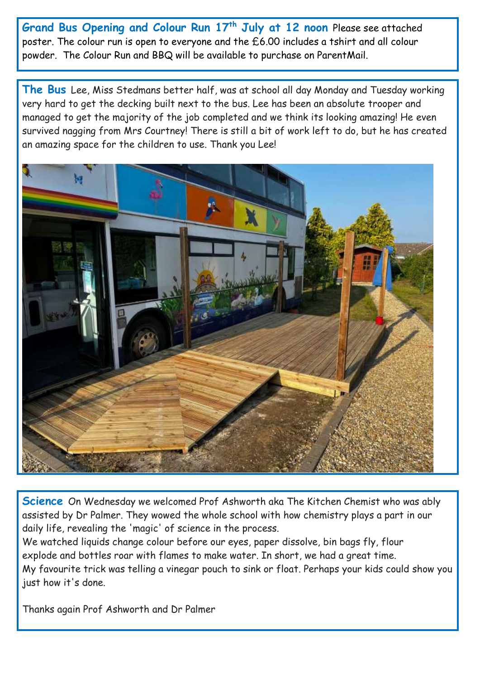**Grand Bus Opening and Colour Run 17th July at 12 noon** Please see attached poster. The colour run is open to everyone and the £6.00 includes a tshirt and all colour powder. The Colour Run and BBQ will be available to purchase on ParentMail.

**The Bus** Lee, Miss Stedmans better half, was at school all day Monday and Tuesday working very hard to get the decking built next to the bus. Lee has been an absolute trooper and managed to get the majority of the job completed and we think its looking amazing! He even survived nagging from Mrs Courtney! There is still a bit of work left to do, but he has created an amazing space for the children to use. Thank you Lee!



**Science** On Wednesday we welcomed Prof Ashworth aka The Kitchen Chemist who was ably assisted by Dr Palmer. They wowed the whole school with how chemistry plays a part in our daily life, revealing the 'magic' of science in the process.

We watched liquids change colour before our eyes, paper dissolve, bin bags fly, flour explode and bottles roar with flames to make water. In short, we had a great time. My favourite trick was telling a vinegar pouch to sink or float. Perhaps your kids could show you just how it's done.

Thanks again Prof Ashworth and Dr Palmer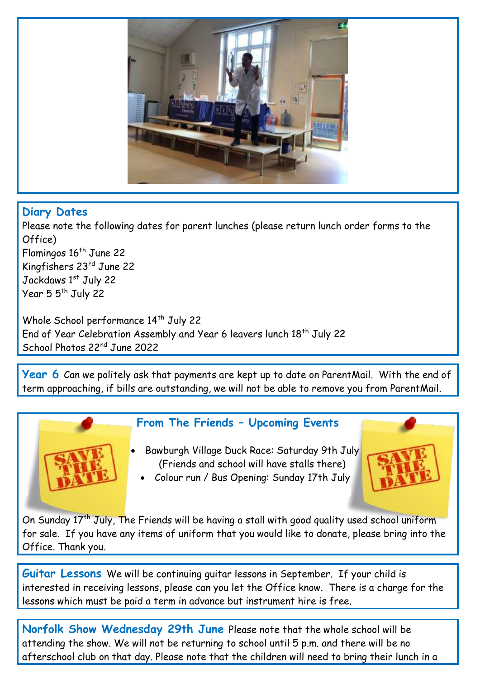

## **Diary Dates**

Please note the following dates for parent lunches (please return lunch order forms to the Office) Flamingos 16<sup>th</sup> June 22 Kingfishers 23rd June 22 Jackdaws 1st July 22 Year 5 5<sup>th</sup> July 22

Whole School performance 14<sup>th</sup> July 22 End of Year Celebration Assembly and Year 6 leavers lunch 18<sup>th</sup> July 22 School Photos 22nd June 2022

**Year 6** Can we politely ask that payments are kept up to date on ParentMail. With the end of term approaching, if bills are outstanding, we will not be able to remove you from ParentMail.



## **From The Friends – Upcoming Events**

- Bawburgh Village Duck Race: Saturday 9th July (Friends and school will have stalls there)
- 
- Colour run / Bus Opening: Sunday 17th July

On Sunday 17<sup>th</sup> July, The Friends will be having a stall with good quality used school uniform for sale. If you have any items of uniform that you would like to donate, please bring into the Office. Thank you.

**Guitar Lessons** We will be continuing guitar lessons in September. If your child is interested in receiving lessons, please can you let the Office know. There is a charge for the lessons which must be paid a term in advance but instrument hire is free.

**Norfolk Show Wednesday 29th June** Please note that the whole school will be attending the show. We will not be returning to school until 5 p.m. and there will be no afterschool club on that day. Please note that the children will need to bring their lunch in a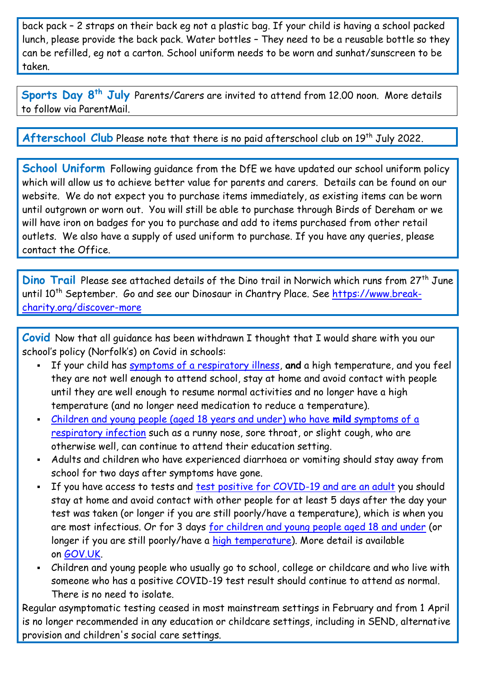back pack – 2 straps on their back eg not a plastic bag. If your child is having a school packed lunch, please provide the back pack. Water bottles – They need to be a reusable bottle so they can be refilled, eg not a carton. School uniform needs to be worn and sunhat/sunscreen to be taken.

**Sports Day 8th July** Parents/Carers are invited to attend from 12.00 noon. More details to follow via ParentMail.

Afterschool Club Please note that there is no paid afterschool club on 19<sup>th</sup> July 2022.

**School Uniform** Following guidance from the DfE we have updated our school uniform policy which will allow us to achieve better value for parents and carers. Details can be found on our website. We do not expect you to purchase items immediately, as existing items can be worn until outgrown or worn out. You will still be able to purchase through Birds of Dereham or we will have iron on badges for you to purchase and add to items purchased from other retail outlets. We also have a supply of used uniform to purchase. If you have any queries, please contact the Office.

**Dino Trail** Please see attached details of the Dino trail in Norwich which runs from 27<sup>th</sup> June until 10<sup>th</sup> September. Go and see our Dinosaur in Chantry Place. See [https://www.break](https://www.break-charity.org/discover-more)[charity.org/discover-more](https://www.break-charity.org/discover-more)

**Covid** Now that all guidance has been withdrawn I thought that I would share with you our school's policy (Norfolk's) on Covid in schools:

- If your child has [symptoms of a respiratory illness,](https://www.gov.uk/guidance/people-with-symptoms-of-a-respiratory-infection-including-covid-19#symptoms-of-respiratory-infections-including-covid-19) **and** a high temperature, and you feel they are not well enough to attend school, stay at home and avoid contact with people until they are well enough to resume normal activities and no longer have a high temperature (and no longer need medication to reduce a temperature).
- [Children and young people \(aged](https://www.gov.uk/guidance/people-with-symptoms-of-a-respiratory-infection-including-covid-19#children-and-young-people-aged-18-years-and-under-who-have-symptoms-of-a-respiratory-infection-including-covid-19) 18 years and under) who have **mild** symptoms of a [respiratory infection](https://www.gov.uk/guidance/people-with-symptoms-of-a-respiratory-infection-including-covid-19#children-and-young-people-aged-18-years-and-under-who-have-symptoms-of-a-respiratory-infection-including-covid-19) such as a runny nose, sore throat, or slight cough, who are otherwise well, can continue to attend their education setting.
- Adults and children who have experienced diarrhoea or vomiting should stay away from school for two days after symptoms have gone.
- If you have access to tests and [test positive for COVID-19 and are an adult](https://www.gov.uk/guidance/people-with-symptoms-of-a-respiratory-infection-including-covid-19#what-to-do-if-you-have-a-positive-covid-19-test-result) you should stay at home and avoid contact with other people for at least 5 days after the day your test was taken (or longer if you are still poorly/have a temperature), which is when you are most infectious. Or for 3 days [for children and young people aged 18 and under](https://www.gov.uk/guidance/people-with-symptoms-of-a-respiratory-infection-including-covid-19#children-and-young-people-aged-18-years-and-under-who-have-symptoms-of-a-respiratory-infection-including-covid-19) (or longer if you are still poorly/have a [high temperature\)](https://www.nhs.uk/conditions/fever-in-children/). More detail is available on [GOV.UK.](https://www.gov.uk/guidance/people-with-symptoms-of-a-respiratory-infection-including-covid-19)
- Children and young people who usually go to school, college or childcare and who live with someone who has a positive COVID-19 test result should continue to attend as normal. There is no need to isolate.

Regular asymptomatic testing ceased in most mainstream settings in February and from 1 April is no longer recommended in any education or childcare settings, including in SEND, alternative provision and children's social care settings.